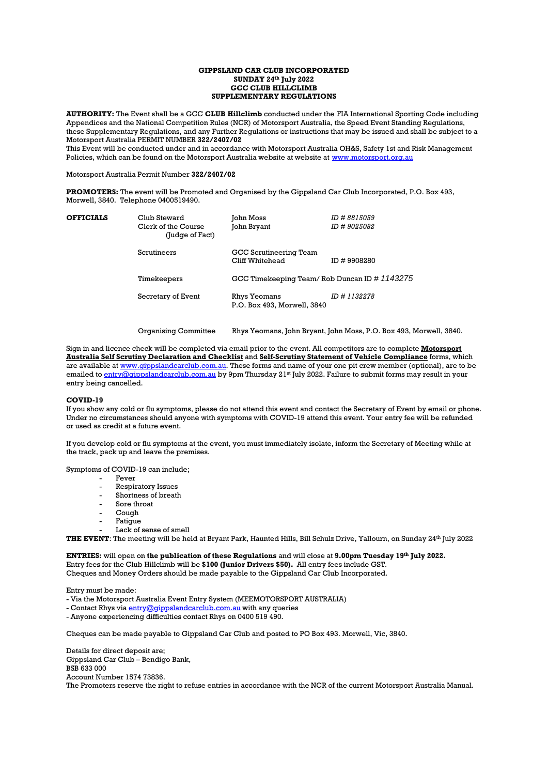#### **GIPPSLAND CAR CLUB INCORPORATED SUNDAY 24th July 2022 GCC CLUB HILLCLIMB SUPPLEMENTARY REGULATIONS**

**AUTHORITY:** The Event shall be a GCC **CLUB Hillclimb** conducted under the FIA International Sporting Code including Appendices and the National Competition Rules (NCR) of Motorsport Australia, the Speed Event Standing Regulations, these Supplementary Regulations, and any Further Regulations or instructions that may be issued and shall be subject to a Motorsport Australia PERMIT NUMBER **322/2407/02**

This Event will be conducted under and in accordance with Motorsport Australia OH&S, Safety 1st and Risk Management Policies, which can be found on the Motorsport Australia website at website at [www.motorsport.org.au](http://www.motorsport.org.au/)

Motorsport Australia Permit Number **322/2407/02**

**PROMOTERS:** The event will be Promoted and Organised by the Gippsland Car Club Incorporated, P.O. Box 493, Morwell, 3840. Telephone 0400519490.

| <b>OFFICIALS</b> | Club Steward<br>Clerk of the Course<br>(Judge of Fact) | John Moss<br>John Bryant                     | ID # 8815059<br><i>ID</i> # 9025082 |
|------------------|--------------------------------------------------------|----------------------------------------------|-------------------------------------|
|                  | Scrutineers                                            | GCC Scrutineering Team<br>Cliff Whitehead    | ID #9908280                         |
|                  | Timekeepers                                            | GCC Timekeeping Team/Rob Duncan ID # 1143275 |                                     |
|                  | Secretary of Event                                     | Rhys Yeomans<br>P.O. Box 493, Morwell, 3840  | ID # 1132278                        |
|                  |                                                        |                                              |                                     |

Organising Committee Rhys Yeomans, John Bryant, John Moss, P.O. Box 493, Morwell, 3840.

Sign in and licence check will be completed via email prior to the event. All competitors are to complete **Motorsport Australia Self Scrutiny Declaration and Checklist** and **Self-Scrutiny Statement of Vehicle Compliance** forms, which are available a[t www.gippslandcarclub.com.au.](http://www.gippslandcarclub.com.au/) These forms and name of your one pit crew member (optional), are to be emailed to [entry@gippslandcarclub.com.au](mailto:entry@gippslandcarclub.com.au) by 9pm Thursday 21st July 2022. Failure to submit forms may result in your entry being cancelled.

#### **COVID-19**

If you show any cold or flu symptoms, please do not attend this event and contact the Secretary of Event by email or phone. Under no circumstances should anyone with symptoms with COVID-19 attend this event. Your entry fee will be refunded or used as credit at a future event.

If you develop cold or flu symptoms at the event, you must immediately isolate, inform the Secretary of Meeting while at the track, pack up and leave the premises.

Symptoms of COVID-19 can include;

- Fever
- Respiratory Issues
- Shortness of breath
- Sore throat
- $Conv<sub>0</sub>$
- Fatigue
- Lack of sense of smell

**THE EVENT**: The meeting will be held at Bryant Park, Haunted Hills, Bill Schulz Drive, Yallourn, on Sunday 24th July 2022

**ENTRIES:** will open on **the publication of these Regulations** and will close at **9.00pm Tuesday 19th July 2022.** Entry fees for the Club Hillclimb will be **\$100 (Junior Drivers \$50).** All entry fees include GST. Cheques and Money Orders should be made payable to the Gippsland Car Club Incorporated.

Entry must be made:

- Via the Motorsport Australia Event Entry System (MEEMOTORSPORT AUSTRALIA)

- Contact Rhys via [entry@gippslandcarclub.com.au](mailto:entry@gippslandcarclub.com.au) with any queries
- Anyone experiencing difficulties contact Rhys on 0400 519 490.

Cheques can be made payable to Gippsland Car Club and posted to PO Box 493. Morwell, Vic, 3840.

Details for direct deposit are; Gippsland Car Club – Bendigo Bank, BSB 633 000 Account Number 1574 73836. The Promoters reserve the right to refuse entries in accordance with the NCR of the current Motorsport Australia Manual.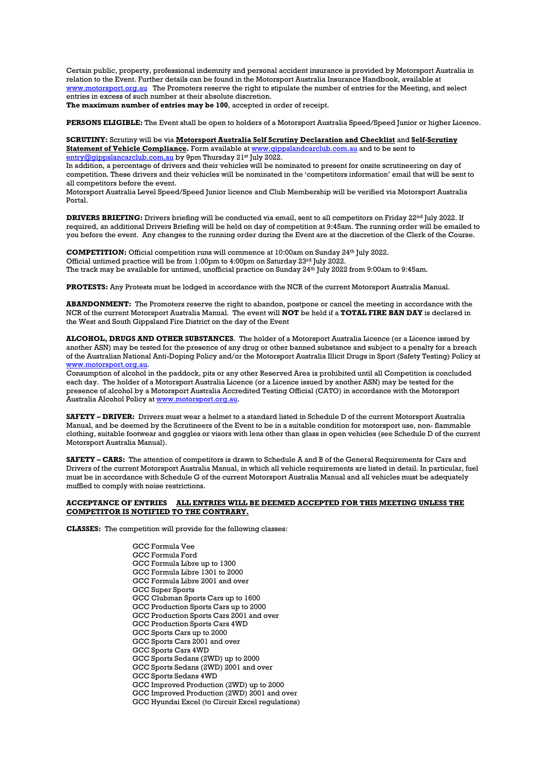Certain public, property, professional indemnity and personal accident insurance is provided by Motorsport Australia in relation to the Event. Further details can be found in the Motorsport Australia Insurance Handbook, available at [www.motorsport.org.au](http://www.motorsport.org.au/) The Promoters reserve the right to stipulate the number of entries for the Meeting, and select entries in excess of such number at their absolute discretion.

**The maximum number of entries may be 100**, accepted in order of receipt.

**PERSONS ELIGIBLE:** The Event shall be open to holders of a Motorsport Australia Speed/Speed Junior or higher Licence.

**SCRUTINY:** Scrutiny will be via **Motorsport Australia Self Scrutiny Declaration and Checklist** and **Self-Scrutiny Statement of Vehicle Compliance.** Form available a[t www.gippslandcarclub.com.au](http://www.gippslandcarclub.com.au/) and to be sent to [entry@gippslancarclub.com.au](mailto:entry@gippslancarclub.com.au) by 9pm Thursday 21<sup>st</sup> July 2022.

In addition, a percentage of drivers and their vehicles will be nominated to present for onsite scrutineering on day of competition. These drivers and their vehicles will be nominated in the 'competitors information' email that will be sent to all competitors before the event.

Motorsport Australia Level Speed/Speed Junior licence and Club Membership will be verified via Motorsport Australia Portal.

**DRIVERS BRIEFING:** Drivers briefing will be conducted via email, sent to all competitors on Friday 22<sup>nd</sup> July 2022. If required, an additional Drivers Briefing will be held on day of competition at 9:45am. The running order will be emailed to you before the event. Any changes to the running order during the Event are at the discretion of the Clerk of the Course.

**COMPETITION:** Official competition runs will commence at 10:00am on Sunday 24<sup>th</sup> July 2022. Official untimed practice will be from 1:00pm to 4:00pm on Saturday 23<sup>rd</sup> July 2022. The track may be available for untimed, unofficial practice on Sunday 24th July 2022 from 9:00am to 9:45am.

**PROTESTS:** Any Protests must be lodged in accordance with the NCR of the current Motorsport Australia Manual.

**ABANDONMENT:** The Promoters reserve the right to abandon, postpone or cancel the meeting in accordance with the NCR of the current Motorsport Australia Manual. The event will **NOT** be held if a **TOTAL FIRE BAN DAY** is declared in the West and South Gippsland Fire District on the day of the Event

**ALCOHOL, DRUGS AND OTHER SUBSTANCES**. The holder of a Motorsport Australia Licence (or a Licence issued by another ASN) may be tested for the presence of any drug or other banned substance and subject to a penalty for a breach of the Australian National Anti-Doping Policy and/or the Motorsport Australia Illicit Drugs in Sport (Safety Testing) Policy at [www.motorsport.org.au.](http://www.motorsport.org.au/)

Consumption of alcohol in the paddock, pits or any other Reserved Area is prohibited until all Competition is concluded each day. The holder of a Motorsport Australia Licence (or a Licence issued by another ASN) may be tested for the presence of alcohol by a Motorsport Australia Accredited Testing Official (CATO) in accordance with the Motorsport Australia Alcohol Policy at [www.motorsport.org.au.](http://www.motorsport.org.au/)

**SAFETY – DRIVER:** Drivers must wear a helmet to a standard listed in Schedule D of the current Motorsport Australia Manual, and be deemed by the Scrutineers of the Event to be in a suitable condition for motorsport use, non- flammable clothing, suitable footwear and goggles or visors with lens other than glass in open vehicles (see Schedule D of the current Motorsport Australia Manual).

**SAFETY – CARS:** The attention of competitors is drawn to Schedule A and B of the General Requirements for Cars and Drivers of the current Motorsport Australia Manual, in which all vehicle requirements are listed in detail. In particular, fuel must be in accordance with Schedule G of the current Motorsport Australia Manual and all vehicles must be adequately muffled to comply with noise restrictions.

#### **ACCEPTANCE OF ENTRIES ALL ENTRIES WILL BE DEEMED ACCEPTED FOR THIS MEETING UNLESS THE COMPETITOR IS NOTIFIED TO THE CONTRARY.**

**CLASSES:** The competition will provide for the following classes:

GCC Formula Vee GCC Formula Ford GCC Formula Libre up to 1300 GCC Formula Libre 1301 to 2000 GCC Formula Libre 2001 and over GCC Super Sports GCC Clubman Sports Cars up to 1600 GCC Production Sports Cars up to 2000 GCC Production Sports Cars 2001 and over GCC Production Sports Cars 4WD GCC Sports Cars up to 2000 GCC Sports Cars 2001 and over GCC Sports Cars 4WD GCC Sports Sedans (2WD) up to 2000 GCC Sports Sedans (2WD) 2001 and over GCC Sports Sedans 4WD GCC Improved Production (2WD) up to 2000 GCC Improved Production (2WD) 2001 and over GCC Hyundai Excel (to Circuit Excel regulations)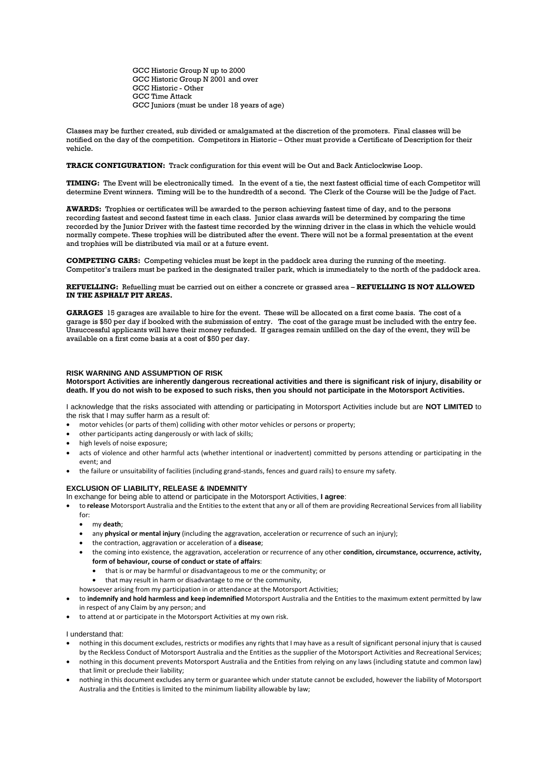GCC Historic Group N up to 2000 GCC Historic Group N 2001 and over GCC Historic - Other GCC Time Attack GCC Juniors (must be under 18 years of age)

Classes may be further created, sub divided or amalgamated at the discretion of the promoters. Final classes will be notified on the day of the competition. Competitors in Historic – Other must provide a Certificate of Description for their vehicle.

## **TRACK CONFIGURATION:** Track configuration for this event will be Out and Back Anticlockwise Loop.

**TIMING:** The Event will be electronically timed. In the event of a tie, the next fastest official time of each Competitor will determine Event winners. Timing will be to the hundredth of a second. The Clerk of the Course will be the Judge of Fact.

**AWARDS:** Trophies or certificates will be awarded to the person achieving fastest time of day, and to the persons recording fastest and second fastest time in each class. Junior class awards will be determined by comparing the time recorded by the Junior Driver with the fastest time recorded by the winning driver in the class in which the vehicle would normally compete. These trophies will be distributed after the event. There will not be a formal presentation at the event and trophies will be distributed via mail or at a future event.

**COMPETING CARS:** Competing vehicles must be kept in the paddock area during the running of the meeting. Competitor's trailers must be parked in the designated trailer park, which is immediately to the north of the paddock area.

**REFUELLING:** Refuelling must be carried out on either a concrete or grassed area – **REFUELLING IS NOT ALLOWED IN THE ASPHALT PIT AREAS.**

**GARAGES** 15 garages are available to hire for the event. These will be allocated on a first come basis. The cost of a garage is \$50 per day if booked with the submission of entry. The cost of the garage must be included with the entry fee. Unsuccessful applicants will have their money refunded. If garages remain unfilled on the day of the event, they will be available on a first come basis at a cost of \$50 per day.

#### **RISK WARNING AND ASSUMPTION OF RISK**

**Motorsport Activities are inherently dangerous recreational activities and there is significant risk of injury, disability or death. If you do not wish to be exposed to such risks, then you should not participate in the Motorsport Activities.**

I acknowledge that the risks associated with attending or participating in Motorsport Activities include but are **NOT LIMITED** to the risk that I may suffer harm as a result of:

- motor vehicles (or parts of them) colliding with other motor vehicles or persons or property;
- other participants acting dangerously or with lack of skills;
- high levels of noise exposure;
- acts of violence and other harmful acts (whether intentional or inadvertent) committed by persons attending or participating in the event; and
- the failure or unsuitability of facilities (including grand-stands, fences and guard rails) to ensure my safety.

### **EXCLUSION OF LIABILITY, RELEASE & INDEMNITY**

- In exchange for being able to attend or participate in the Motorsport Activities, **I agree**:
- to **release** Motorsport Australia and the Entities to the extent that any or all of them are providing Recreational Services from all liability for:
	- my **death**;
	- any **physical or mental injury** (including the aggravation, acceleration or recurrence of such an injury);
	- the contraction, aggravation or acceleration of a **disease**;
	- the coming into existence, the aggravation, acceleration or recurrence of any other **condition, circumstance, occurrence, activity, form of behaviour, course of conduct or state of affairs**:
		- that is or may be harmful or disadvantageous to me or the community; or
		- that may result in harm or disadvantage to me or the community,
	- howsoever arising from my participation in or attendance at the Motorsport Activities;
- to **indemnify and hold harmless and keep indemnified** Motorsport Australia and the Entities to the maximum extent permitted by law in respect of any Claim by any person; and
- to attend at or participate in the Motorsport Activities at my own risk.
- I understand that:
- nothing in this document excludes, restricts or modifies any rights that I may have as a result of significant personal injury that is caused by the Reckless Conduct of Motorsport Australia and the Entities as the supplier of the Motorsport Activities and Recreational Services;
- nothing in this document prevents Motorsport Australia and the Entities from relying on any laws (including statute and common law) that limit or preclude their liability;
- nothing in this document excludes any term or guarantee which under statute cannot be excluded, however the liability of Motorsport Australia and the Entities is limited to the minimum liability allowable by law;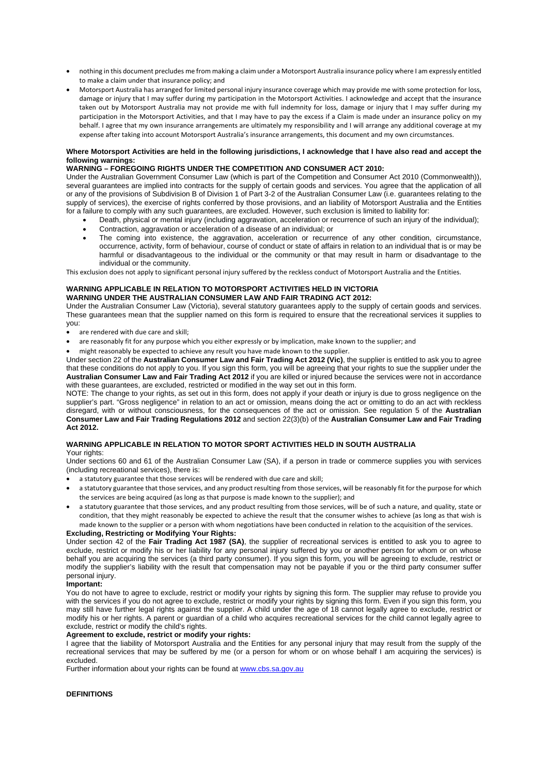- nothing in this document precludes me from making a claim under a Motorsport Australia insurance policy where I am expressly entitled to make a claim under that insurance policy; and
- Motorsport Australia has arranged for limited personal injury insurance coverage which may provide me with some protection for loss, damage or injury that I may suffer during my participation in the Motorsport Activities. I acknowledge and accept that the insurance taken out by Motorsport Australia may not provide me with full indemnity for loss, damage or injury that I may suffer during my participation in the Motorsport Activities, and that I may have to pay the excess if a Claim is made under an insurance policy on my behalf. I agree that my own insurance arrangements are ultimately my responsibility and I will arrange any additional coverage at my expense after taking into account Motorsport Australia's insurance arrangements, this document and my own circumstances.

## **Where Motorsport Activities are held in the following jurisdictions, I acknowledge that I have also read and accept the following warnings:**

# **WARNING – FOREGOING RIGHTS UNDER THE COMPETITION AND CONSUMER ACT 2010:**

Under the Australian Government Consumer Law (which is part of the Competition and Consumer Act 2010 (Commonwealth)), several guarantees are implied into contracts for the supply of certain goods and services. You agree that the application of all or any of the provisions of Subdivision B of Division 1 of Part 3-2 of the Australian Consumer Law (i.e. guarantees relating to the supply of services), the exercise of rights conferred by those provisions, and an liability of Motorsport Australia and the Entities for a failure to comply with any such guarantees, are excluded. However, such exclusion is limited to liability for:

- Death, physical or mental injury (including aggravation, acceleration or recurrence of such an injury of the individual);
- Contraction, aggravation or acceleration of a disease of an individual; or
- The coming into existence, the aggravation, acceleration or recurrence of any other condition, circumstance, occurrence, activity, form of behaviour, course of conduct or state of affairs in relation to an individual that is or may be harmful or disadvantageous to the individual or the community or that may result in harm or disadvantage to the individual or the community.

This exclusion does not apply to significant personal injury suffered by the reckless conduct of Motorsport Australia and the Entities.

#### **WARNING APPLICABLE IN RELATION TO MOTORSPORT ACTIVITIES HELD IN VICTORIA WARNING UNDER THE AUSTRALIAN CONSUMER LAW AND FAIR TRADING ACT 2012:**

Under the Australian Consumer Law (Victoria), several statutory guarantees apply to the supply of certain goods and services. These guarantees mean that the supplier named on this form is required to ensure that the recreational services it supplies to you:

- are rendered with due care and skill:
- are reasonably fit for any purpose which you either expressly or by implication, make known to the supplier; and
- might reasonably be expected to achieve any result you have made known to the supplier.

Under section 22 of the **Australian Consumer Law and Fair Trading Act 2012 (Vic)**, the supplier is entitled to ask you to agree that these conditions do not apply to you. If you sign this form, you will be agreeing that your rights to sue the supplier under the **Australian Consumer Law and Fair Trading Act 2012** if you are killed or injured because the services were not in accordance with these guarantees, are excluded, restricted or modified in the way set out in this form.

NOTE: The change to your rights, as set out in this form, does not apply if your death or injury is due to gross negligence on the supplier's part. "Gross negligence" in relation to an act or omission, means doing the act or omitting to do an act with reckless disregard, with or without consciousness, for the consequences of the act or omission. See regulation 5 of the **Australian Consumer Law and Fair Trading Regulations 2012** and section 22(3)(b) of the **Australian Consumer Law and Fair Trading Act 2012.**

# **WARNING APPLICABLE IN RELATION TO MOTOR SPORT ACTIVITIES HELD IN SOUTH AUSTRALIA**

## Your rights:

Under sections 60 and 61 of the Australian Consumer Law (SA), if a person in trade or commerce supplies you with services (including recreational services), there is:

- a statutory guarantee that those services will be rendered with due care and skill;
- a statutory guarantee that those services, and any product resulting from those services, will be reasonably fit for the purpose for which the services are being acquired (as long as that purpose is made known to the supplier); and
- a statutory guarantee that those services, and any product resulting from those services, will be of such a nature, and quality, state or condition, that they might reasonably be expected to achieve the result that the consumer wishes to achieve (as long as that wish is made known to the supplier or a person with whom negotiations have been conducted in relation to the acquisition of the services.

## **Excluding, Restricting or Modifying Your Rights:**

Under section 42 of the **Fair Trading Act 1987 (SA)**, the supplier of recreational services is entitled to ask you to agree to exclude, restrict or modify his or her liability for any personal injury suffered by you or another person for whom or on whose behalf you are acquiring the services (a third party consumer). If you sign this form, you will be agreeing to exclude, restrict or modify the supplier's liability with the result that compensation may not be payable if you or the third party consumer suffer personal injury.

## **Important:**

You do not have to agree to exclude, restrict or modify your rights by signing this form. The supplier may refuse to provide you with the services if you do not agree to exclude, restrict or modify your rights by signing this form. Even if you sign this form, you may still have further legal rights against the supplier. A child under the age of 18 cannot legally agree to exclude, restrict or modify his or her rights. A parent or guardian of a child who acquires recreational services for the child cannot legally agree to exclude, restrict or modify the child's rights.

## **Agreement to exclude, restrict or modify your rights:**

I agree that the liability of Motorsport Australia and the Entities for any personal injury that may result from the supply of the recreational services that may be suffered by me (or a person for whom or on whose behalf I am acquiring the services) is excluded.

Further information about your rights can be found at [www.cbs.sa.gov.au](http://www.cbs.sa.gov.au/)

# **DEFINITIONS**